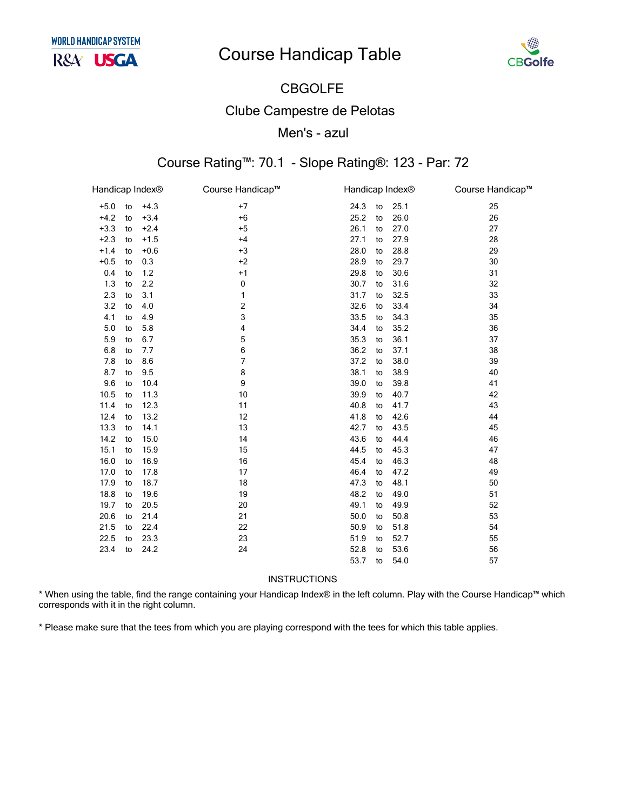# **Course Handicap Table**



# **CBGOLFE**

### **Clube Campestre de Pelotas**

### Men's - azul

## Course Rating™: 70.1 - Slope Rating®: 123 - Par: 72

| Handicap Index® |    |        | Course Handicap™ | Handicap Index® |    |      | Course Handicap™ |
|-----------------|----|--------|------------------|-----------------|----|------|------------------|
| $+5.0$          | to | $+4.3$ | $+7$             | 24.3            | to | 25.1 | 25               |
| $+4.2$          | to | $+3.4$ | $+6$             | 25.2            | to | 26.0 | 26               |
| $+3.3$          | to | $+2.4$ | $+5$             | 26.1            | to | 27.0 | 27               |
| $+2.3$          | to | $+1.5$ | $+4$             | 27.1            | to | 27.9 | 28               |
| $+1.4$          | to | $+0.6$ | $+3$             | 28.0            | to | 28.8 | 29               |
| $+0.5$          | to | 0.3    | $+2$             | 28.9            | to | 29.7 | 30               |
| 0.4             | to | 1.2    | $+1$             | 29.8            | to | 30.6 | 31               |
| 1.3             | to | 2.2    | 0                | 30.7            | to | 31.6 | 32               |
| 2.3             | to | 3.1    | 1                | 31.7            | to | 32.5 | 33               |
| 3.2             | to | 4.0    | 2                | 32.6            | to | 33.4 | 34               |
| 4.1             | to | 4.9    | 3                | 33.5            | to | 34.3 | 35               |
| 5.0             | to | 5.8    | 4                | 34.4            | to | 35.2 | 36               |
| 5.9             | to | 6.7    | 5                | 35.3            | to | 36.1 | 37               |
| 6.8             | to | 7.7    | 6                | 36.2            | to | 37.1 | 38               |
| 7.8             | to | 8.6    | 7                | 37.2            | to | 38.0 | 39               |
| 8.7             | to | 9.5    | 8                | 38.1            | to | 38.9 | 40               |
| 9.6             | to | 10.4   | 9                | 39.0            | to | 39.8 | 41               |
| 10.5            | to | 11.3   | 10               | 39.9            | to | 40.7 | 42               |
| 11.4            | to | 12.3   | 11               | 40.8            | to | 41.7 | 43               |
| 12.4            | to | 13.2   | 12               | 41.8            | to | 42.6 | 44               |
| 13.3            | to | 14.1   | 13               | 42.7            | to | 43.5 | 45               |
| 14.2            | to | 15.0   | 14               | 43.6            | to | 44.4 | 46               |
| 15.1            | to | 15.9   | 15               | 44.5            | to | 45.3 | 47               |
| 16.0            | to | 16.9   | 16               | 45.4            | to | 46.3 | 48               |
| 17.0            | to | 17.8   | 17               | 46.4            | to | 47.2 | 49               |
| 17.9            | to | 18.7   | 18               | 47.3            | to | 48.1 | 50               |
| 18.8            | to | 19.6   | 19               | 48.2            | to | 49.0 | 51               |
| 19.7            | to | 20.5   | 20               | 49.1            | to | 49.9 | 52               |
| 20.6            | to | 21.4   | 21               | 50.0            | to | 50.8 | 53               |
| 21.5            | to | 22.4   | 22               | 50.9            | to | 51.8 | 54               |
| 22.5            | to | 23.3   | 23               | 51.9            | to | 52.7 | 55               |
| 23.4            | to | 24.2   | 24               | 52.8            | to | 53.6 | 56               |
|                 |    |        |                  | 53.7            | to | 54.0 | 57               |

#### INSTRUCTIONS

\* When using the table, find the range containing your Handicap Index® in the left column. Play with the Course Handicap™ which corresponds with it in the right column.

\* Please make sure that the tees from which you are playing correspond with the tees for which this table applies.